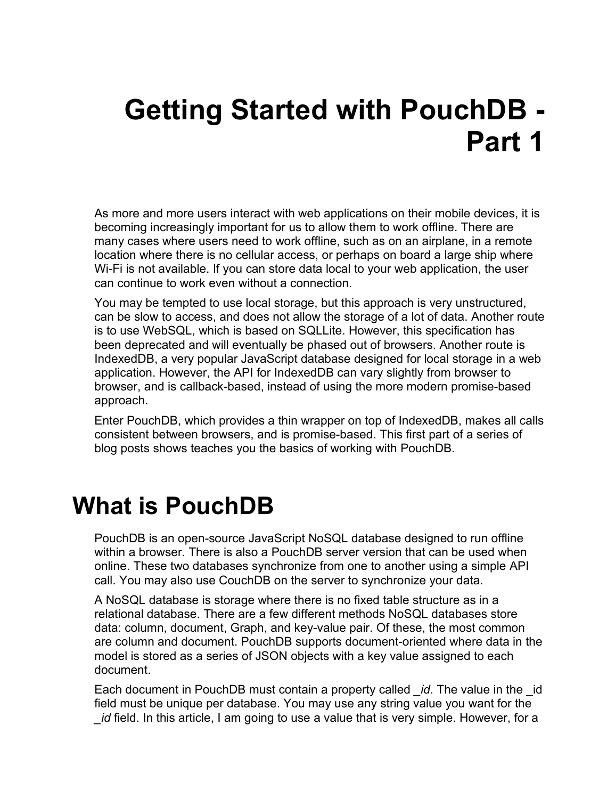# **Getting Started with PouchDB - Part 1**

As more and more users interact with web applications on their mobile devices, it is becoming increasingly important for us to allow them to work offline. There are many cases where users need to work offline, such as on an airplane, in a remote location where there is no cellular access, or perhaps on board a large ship where Wi-Fi is not available. If you can store data local to your web application, the user can continue to work even without a connection.

You may be tempted to use local storage, but this approach is very unstructured, can be slow to access, and does not allow the storage of a lot of data. Another route is to use WebSQL, which is based on SQLLite. However, this specification has been deprecated and will eventually be phased out of browsers. Another route is IndexedDB, a very popular JavaScript database designed for local storage in a web application. However, the API for IndexedDB can vary slightly from browser to browser, and is callback-based, instead of using the more modern promise-based approach.

Enter PouchDB, which provides a thin wrapper on top of IndexedDB, makes all calls consistent between browsers, and is promise-based. This first part of a series of blog posts shows teaches you the basics of working with PouchDB.

## **What is PouchDB**

PouchDB is an open-source JavaScript NoSQL database designed to run offline within a browser. There is also a PouchDB server version that can be used when online. These two databases synchronize from one to another using a simple API call. You may also use CouchDB on the server to synchronize your data.

A NoSQL database is storage where there is no fixed table structure as in a relational database. There are a few different methods NoSQL databases store data: column, document, Graph, and key-value pair. Of these, the most common are column and document. PouchDB supports document-oriented where data in the model is stored as a series of JSON objects with a key value assigned to each document.

Each document in PouchDB must contain a property called *\_id*. The value in the \_id field must be unique per database. You may use any string value you want for the *\_id* field. In this article, I am going to use a value that is very simple. However, for a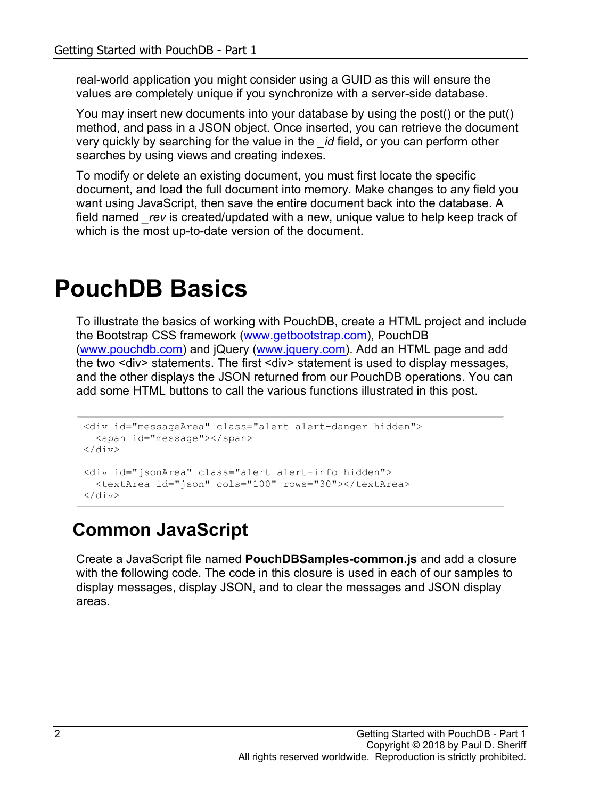real-world application you might consider using a GUID as this will ensure the values are completely unique if you synchronize with a server-side database.

You may insert new documents into your database by using the post() or the put() method, and pass in a JSON object. Once inserted, you can retrieve the document very quickly by searching for the value in the *\_id* field, or you can perform other searches by using views and creating indexes.

To modify or delete an existing document, you must first locate the specific document, and load the full document into memory. Make changes to any field you want using JavaScript, then save the entire document back into the database. A field named *\_rev* is created/updated with a new, unique value to help keep track of which is the most up-to-date version of the document.

# **PouchDB Basics**

To illustrate the basics of working with PouchDB, create a HTML project and include the Bootstrap CSS framework [\(www.getbootstrap.com\)](http://www.getbootstrap.com/), PouchDB [\(www.pouchdb.com\)](http://www.pouchdb.com/) and jQuery [\(www.jquery.com\)](http://www.jquery.com/). Add an HTML page and add the two <div> statements. The first <div> statement is used to display messages, and the other displays the JSON returned from our PouchDB operations. You can add some HTML buttons to call the various functions illustrated in this post.

```
<div id="messageArea" class="alert alert-danger hidden">
   <span id="message"></span>
\langlediv\rangle<div id="jsonArea" class="alert alert-info hidden">
   <textArea id="json" cols="100" rows="30"></textArea>
</div>
```
### **Common JavaScript**

Create a JavaScript file named **PouchDBSamples-common.js** and add a closure with the following code. The code in this closure is used in each of our samples to display messages, display JSON, and to clear the messages and JSON display areas.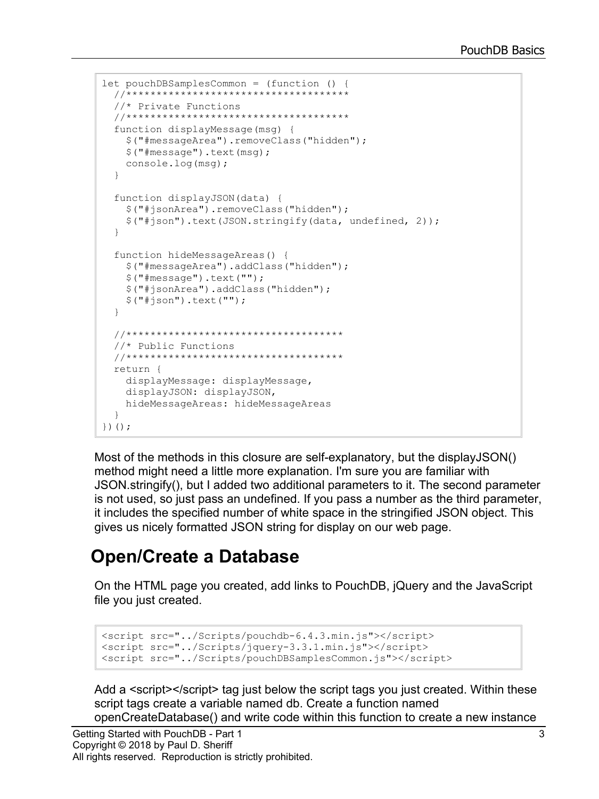```
let pouchDBSamplesCommon = (function () {
  //*************************************
   //* Private Functions
   //*************************************
   function displayMessage(msg) {
     $("#messageArea").removeClass("hidden");
     $("#message").text(msg);
     console.log(msg);
   }
   function displayJSON(data) {
     $("#jsonArea").removeClass("hidden");
     $("#json").text(JSON.stringify(data, undefined, 2));
   }
   function hideMessageAreas() {
     $("#messageArea").addClass("hidden");
     $("#message").text("");
     $("#jsonArea").addClass("hidden");
     $("#json").text("");
   }
   //************************************
   //* Public Functions
   //************************************
   return {
     displayMessage: displayMessage,
     displayJSON: displayJSON,
    hideMessageAreas: hideMessageAreas
   }
})();
```
Most of the methods in this closure are self-explanatory, but the displayJSON() method might need a little more explanation. I'm sure you are familiar with JSON.stringify(), but I added two additional parameters to it. The second parameter is not used, so just pass an undefined. If you pass a number as the third parameter, it includes the specified number of white space in the stringified JSON object. This gives us nicely formatted JSON string for display on our web page.

#### **Open/Create a Database**

On the HTML page you created, add links to PouchDB, jQuery and the JavaScript file you just created.

```
<script src="../Scripts/pouchdb-6.4.3.min.js"></script>
<script src="../Scripts/jquery-3.3.1.min.js"></script>
<script src="../Scripts/pouchDBSamplesCommon.js"></script>
```
Add a <script></script> tag just below the script tags you just created. Within these script tags create a variable named db. Create a function named openCreateDatabase() and write code within this function to create a new instance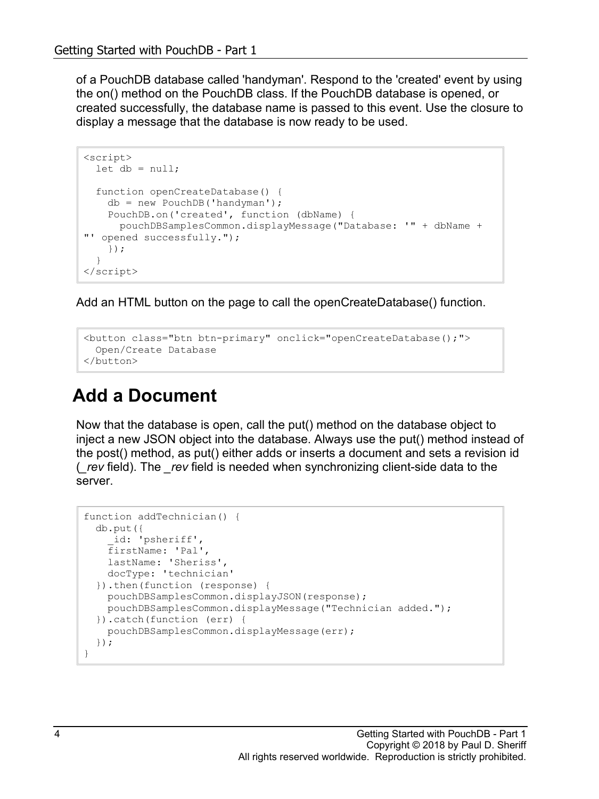of a PouchDB database called 'handyman'. Respond to the 'created' event by using the on() method on the PouchDB class. If the PouchDB database is opened, or created successfully, the database name is passed to this event. Use the closure to display a message that the database is now ready to be used.

```
<script>
 let db = null; function openCreateDatabase() {
    db = new PouchDB('handyman');
    PouchDB.on('created', function (dbName) {
      pouchDBSamplesCommon.displayMessage("Database: '" + dbName + 
"' opened successfully.");
    });
   }
</script>
```
Add an HTML button on the page to call the openCreateDatabase() function.

```
<button class="btn btn-primary" onclick="openCreateDatabase();">
  Open/Create Database
</button>
```
### **Add a Document**

Now that the database is open, call the put() method on the database object to inject a new JSON object into the database. Always use the put() method instead of the post() method, as put() either adds or inserts a document and sets a revision id (*\_rev* field). The *\_rev* field is needed when synchronizing client-side data to the server.

```
function addTechnician() {
  db.put({
     _id: 'psheriff',
    firstName: 'Pal',
    lastName: 'Sheriss',
    docType: 'technician'
  }).then(function (response) {
    pouchDBSamplesCommon.displayJSON(response);
    pouchDBSamplesCommon.displayMessage("Technician added.");
  }).catch(function (err) {
    pouchDBSamplesCommon.displayMessage(err);
  });
}
```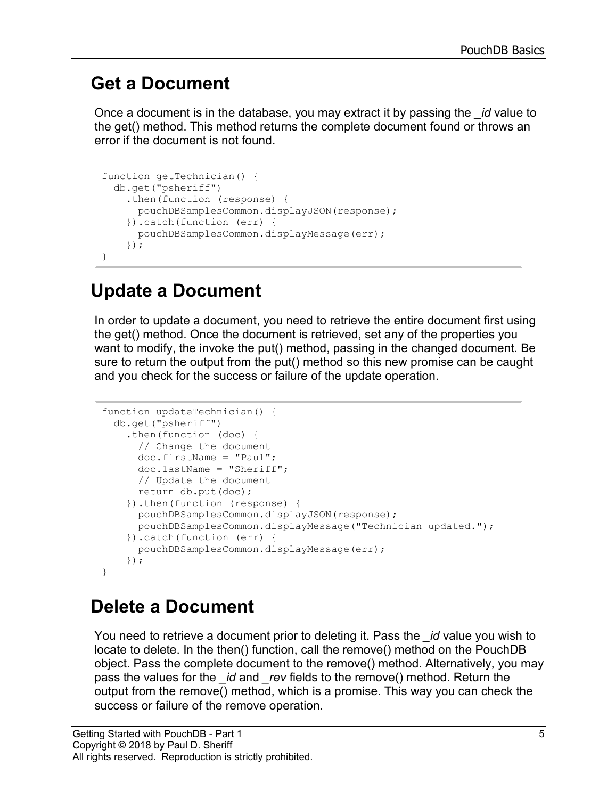### **Get a Document**

Once a document is in the database, you may extract it by passing the *\_id* value to the get() method. This method returns the complete document found or throws an error if the document is not found.

```
function getTechnician() {
   db.get("psheriff")
     .then(function (response) {
      pouchDBSamplesCommon.displayJSON(response);
     }).catch(function (err) {
       pouchDBSamplesCommon.displayMessage(err);
     });
}
```
### **Update a Document**

In order to update a document, you need to retrieve the entire document first using the get() method. Once the document is retrieved, set any of the properties you want to modify, the invoke the put() method, passing in the changed document. Be sure to return the output from the put() method so this new promise can be caught and you check for the success or failure of the update operation.

```
function updateTechnician() {
   db.get("psheriff")
     .then(function (doc) {
       // Change the document
       doc.firstName = "Paul";
       doc.lastName = "Sheriff";
       // Update the document
       return db.put(doc);
     }).then(function (response) {
       pouchDBSamplesCommon.displayJSON(response);
       pouchDBSamplesCommon.displayMessage("Technician updated.");
     }).catch(function (err) {
       pouchDBSamplesCommon.displayMessage(err);
     });
}
```
### **Delete a Document**

You need to retrieve a document prior to deleting it. Pass the *\_id* value you wish to locate to delete. In the then() function, call the remove() method on the PouchDB object. Pass the complete document to the remove() method. Alternatively, you may pass the values for the *\_id* and *\_rev* fields to the remove() method. Return the output from the remove() method, which is a promise. This way you can check the success or failure of the remove operation.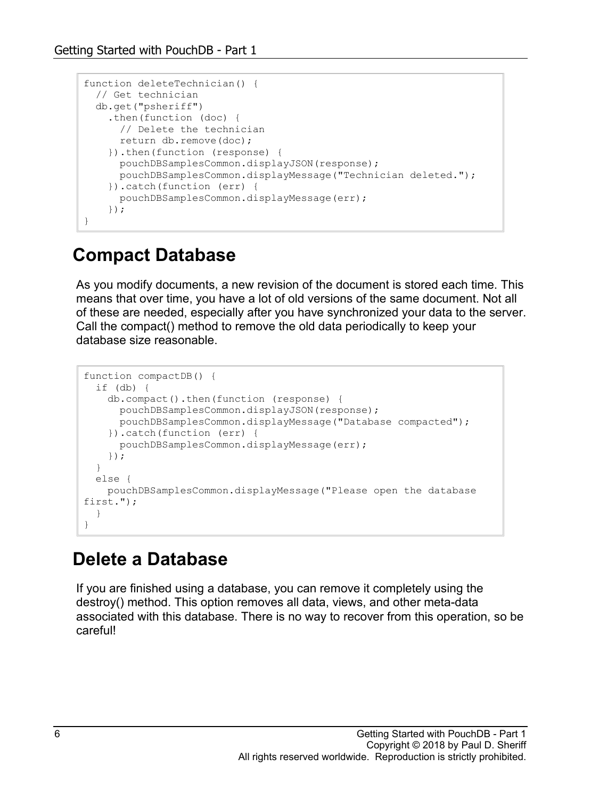```
function deleteTechnician() {
  // Get technician
  db.get("psheriff")
    .then(function (doc) {
      // Delete the technician
      return db.remove(doc);
     }).then(function (response) {
      pouchDBSamplesCommon.displayJSON(response);
      pouchDBSamplesCommon.displayMessage("Technician deleted.");
     }).catch(function (err) {
       pouchDBSamplesCommon.displayMessage(err);
     });
}
```
#### **Compact Database**

As you modify documents, a new revision of the document is stored each time. This means that over time, you have a lot of old versions of the same document. Not all of these are needed, especially after you have synchronized your data to the server. Call the compact() method to remove the old data periodically to keep your database size reasonable.

```
function compactDB() {
   if (db) {
     db.compact().then(function (response) {
       pouchDBSamplesCommon.displayJSON(response);
       pouchDBSamplesCommon.displayMessage("Database compacted");
     }).catch(function (err) {
       pouchDBSamplesCommon.displayMessage(err);
     });
   }
   else {
     pouchDBSamplesCommon.displayMessage("Please open the database 
first.");
   }
}
```
#### **Delete a Database**

If you are finished using a database, you can remove it completely using the destroy() method. This option removes all data, views, and other meta-data associated with this database. There is no way to recover from this operation, so be careful!